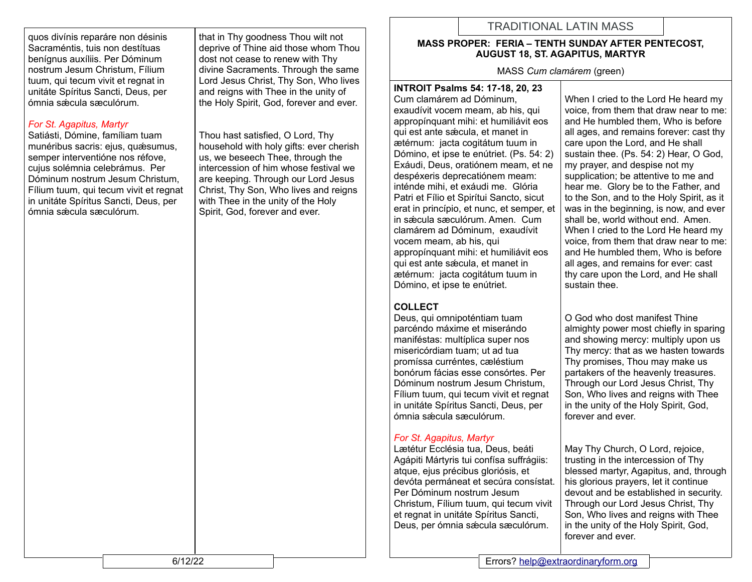quos divínis reparáre non désinis Sacraméntis, tuis non destítuas benígnus auxíliis. Per Dóminum nostrum Jesum Christum, Fílium tuum, qui tecum vivit et regnat in unitáte Spíritus Sancti, Deus, per ómnia sǽcula sæculórum.

## *For St. Agapitus, Martyr*

Satiásti, Dómine, famíliam tuam munéribus sacris: ejus, quæsumus, semper interventióne nos réfove, cujus solémnia celebrámus. Per Dóminum nostrum Jesum Christum, Fílium tuum, qui tecum vivit et regnat in unitáte Spíritus Sancti, Deus, per ómnia sǽcula sæculórum.

that in Thy goodness Thou wilt not deprive of Thine aid those whom Thou dost not cease to renew with Thy divine Sacraments. Through the same Lord Jesus Christ, Thy Son, Who lives and reigns with Thee in the unity of the Holy Spirit, God, forever and ever.

Thou hast satisfied, O Lord, Thy household with holy gifts: ever cherish us, we beseech Thee, through the intercession of him whose festival we are keeping. Through our Lord Jesus Christ, Thy Son, Who lives and reigns with Thee in the unity of the Holy Spirit, God, forever and ever.

# TRADITIONAL LATIN MASS

#### **MASS PROPER: FERIA – TENTH SUNDAY AFTER PENTECOST, AUGUST 18, ST. AGAPITUS, MARTYR**

MASS *Cum clamárem* (green)

**INTROIT Psalms 54: 17-18, 20, 23** Cum clamárem ad Dóminum, exaudívit vocem meam, ab his, qui appropínquant mihi: et humiliávit eos qui est ante sǽcula, et manet in ætérnum: jacta cogitátum tuum in Dómino, et ipse te enútriet. (Ps. 54: 2) Exáudi, Deus, oratiónem meam, et ne despéxeris deprecatiónem meam: inténde mihi, et exáudi me. Glória Patri et Fílio et Spirítui Sancto, sicut erat in princípio, et nunc, et semper, et in sǽcula sæculórum. Amen. Cum clamárem ad Dóminum, exaudívit vocem meam, ab his, qui appropínquant mihi: et humiliávit eos qui est ante sǽcula, et manet in ætérnum: jacta cogitátum tuum in Dómino, et ipse te enútriet.

## **COLLECT**

Deus, qui omnipoténtiam tuam parcéndo máxime et miserándo maniféstas: multíplica super nos misericórdiam tuam; ut ad tua promíssa curréntes, cæléstium bonórum fácias esse consórtes. Per Dóminum nostrum Jesum Christum, Fílium tuum, qui tecum vivit et regnat in unitáte Spíritus Sancti, Deus, per ómnia sǽcula sæculórum.

## *For St. Agapitus, Martyr*

Lætétur Ecclésia tua, Deus, beáti Agápiti Mártyris tui confísa suffrágiis: atque, ejus précibus gloriósis, et devóta permáneat et secúra consístat. Per Dóminum nostrum Jesum Christum, Fílium tuum, qui tecum vivit et regnat in unitáte Spíritus Sancti, Deus, per ómnia sǽcula sæculórum.

When I cried to the Lord He heard my voice, from them that draw near to me: and He humbled them, Who is before all ages, and remains forever: cast thy care upon the Lord, and He shall sustain thee. (Ps. 54: 2) Hear, O God, my prayer, and despise not my supplication; be attentive to me and hear me. Glory be to the Father, and to the Son, and to the Holy Spirit, as it was in the beginning, is now, and ever shall be, world without end. Amen. When I cried to the Lord He heard my voice, from them that draw near to me: and He humbled them, Who is before all ages, and remains for ever: cast thy care upon the Lord, and He shall sustain thee.

O God who dost manifest Thine almighty power most chiefly in sparing and showing mercy: multiply upon us Thy mercy: that as we hasten towards Thy promises, Thou may make us partakers of the heavenly treasures. Through our Lord Jesus Christ, Thy Son, Who lives and reigns with Thee in the unity of the Holy Spirit, God, forever and ever.

May Thy Church, O Lord, rejoice, trusting in the intercession of Thy blessed martyr, Agapitus, and, through his glorious prayers, let it continue devout and be established in security. Through our Lord Jesus Christ, Thy Son, Who lives and reigns with Thee in the unity of the Holy Spirit, God, forever and ever.